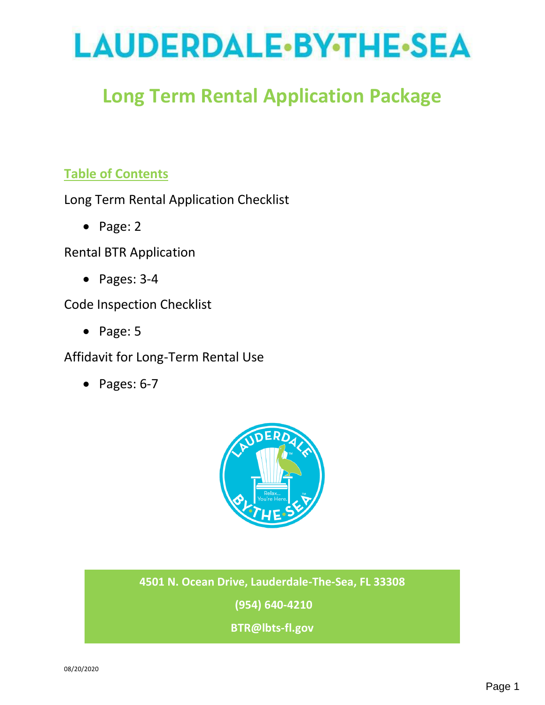# LAUDERDALE-BY-THE-SEA

## **Long Term Rental Application Package**

## **Table of Contents**

Long Term Rental Application Checklist

• Page: 2

Rental BTR Application

• Pages: 3-4

Code Inspection Checklist

• Page: 5

Affidavit for Long-Term Rental Use

• Pages: 6-7



## **4501 N. Ocean Drive, Lauderdale-The-Sea, FL 33308**

**(954) 640-4210**

**BTR@lbts-fl.gov**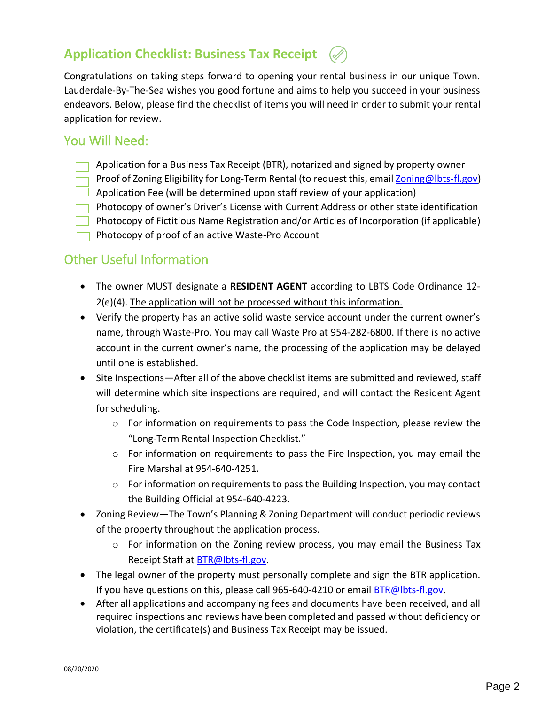## **Application Checklist: Business Tax Receipt**

Congratulations on taking steps forward to opening your rental business in our unique Town. Lauderdale-By-The-Sea wishes you good fortune and aims to help you succeed in your business endeavors. Below, please find the checklist of items you will need in order to submit your rental application for review.

## You Will Need:

- $\Box$  Application for a Business Tax Receipt (BTR), notarized and signed by property owner
- Proof of Zoning Eligibility for Long-Term Rental (to request this, emai[l Zoning@lbts-fl.gov\)](mailto:Zoning@lbts-fl.gov) Application Fee (will be determined upon staff review of your application)
- Photocopy of owner's Driver's License with Current Address or other state identification
- Photocopy of Fictitious Name Registration and/or Articles of Incorporation (if applicable)
- $\Box$  Photocopy of proof of an active Waste-Pro Account

## Other Useful Information

- The owner MUST designate a **RESIDENT AGENT** according to LBTS Code Ordinance 12- 2(e)(4). The application will not be processed without this information.
- Verify the property has an active solid waste service account under the current owner's name, through Waste-Pro. You may call Waste Pro at 954-282-6800. If there is no active account in the current owner's name, the processing of the application may be delayed until one is established.
- Site Inspections—After all of the above checklist items are submitted and reviewed, staff will determine which site inspections are required, and will contact the Resident Agent for scheduling.
	- $\circ$  For information on requirements to pass the Code Inspection, please review the "Long-Term Rental Inspection Checklist."
	- $\circ$  For information on requirements to pass the Fire Inspection, you may email the Fire Marshal at 954-640-4251.
	- o For information on requirements to pass the Building Inspection, you may contact the Building Official at 954-640-4223.
- Zoning Review—The Town's Planning & Zoning Department will conduct periodic reviews of the property throughout the application process.
	- o For information on the Zoning review process, you may email the Business Tax Receipt Staff at [BTR@lbts-fl.gov.](mailto:BTR@LBTS-FL.gov)
- The legal owner of the property must personally complete and sign the BTR application. If you have questions on this, please call 965-640-4210 or email [BTR@lbts-fl.gov.](mailto:BTR@lbts-fl.gov)
- After all applications and accompanying fees and documents have been received, and all required inspections and reviews have been completed and passed without deficiency or violation, the certificate(s) and Business Tax Receipt may be issued.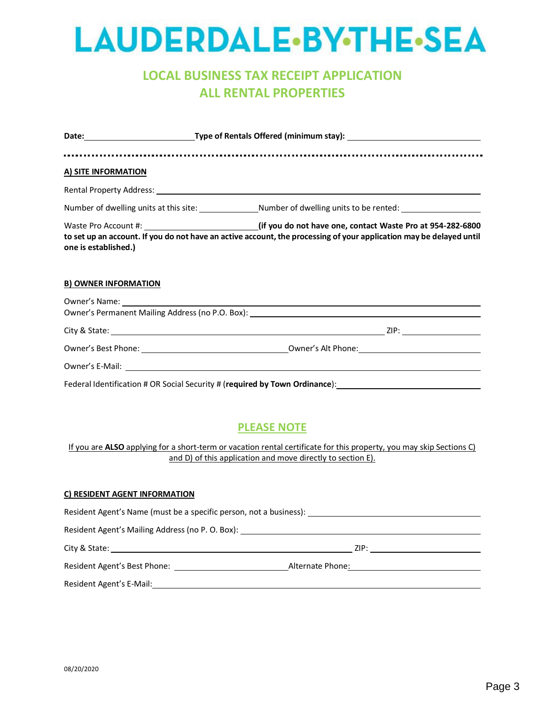## **LAUDERDALE-BY-THE-SEA**

## **LOCAL BUSINESS TAX RECEIPT APPLICATION ALL RENTAL PROPERTIES**

| A) SITE INFORMATION         |                                                                                                                                                                                                                                |  |  |
|-----------------------------|--------------------------------------------------------------------------------------------------------------------------------------------------------------------------------------------------------------------------------|--|--|
|                             |                                                                                                                                                                                                                                |  |  |
|                             | Number of dwelling units at this site: ________________Number of dwelling units to be rented: ________________                                                                                                                 |  |  |
| one is established.)        | Waste Pro Account #: 1822-6800 (if you do not have one, contact Waste Pro at 954-282-6800<br>to set up an account. If you do not have an active account, the processing of your application may be delayed until               |  |  |
| <b>B) OWNER INFORMATION</b> |                                                                                                                                                                                                                                |  |  |
|                             |                                                                                                                                                                                                                                |  |  |
|                             |                                                                                                                                                                                                                                |  |  |
|                             |                                                                                                                                                                                                                                |  |  |
|                             | Owner's Best Phone: Note and South America Commercial Commercial Commercial Commercial Commercial Commercial Commercial Commercial Commercial Commercial Commercial Commercial Commercial Commercial Commercial Commercial Com |  |  |
|                             |                                                                                                                                                                                                                                |  |  |
|                             |                                                                                                                                                                                                                                |  |  |

## **PLEASE NOTE**

If you are **ALSO** applying for a short-term or vacation rental certificate for this property, you may skip Sections C) and D) of this application and move directly to section E).

#### **C) RESIDENT AGENT INFORMATION**

| Resident Agent's Name (must be a specific person, not a business):               |                  |  |  |  |
|----------------------------------------------------------------------------------|------------------|--|--|--|
| Resident Agent's Mailing Address (no P. O. Box): _______________________________ |                  |  |  |  |
| City & State:                                                                    | ZIP:             |  |  |  |
| Resident Agent's Best Phone:                                                     | Alternate Phone: |  |  |  |
| Resident Agent's E-Mail:                                                         |                  |  |  |  |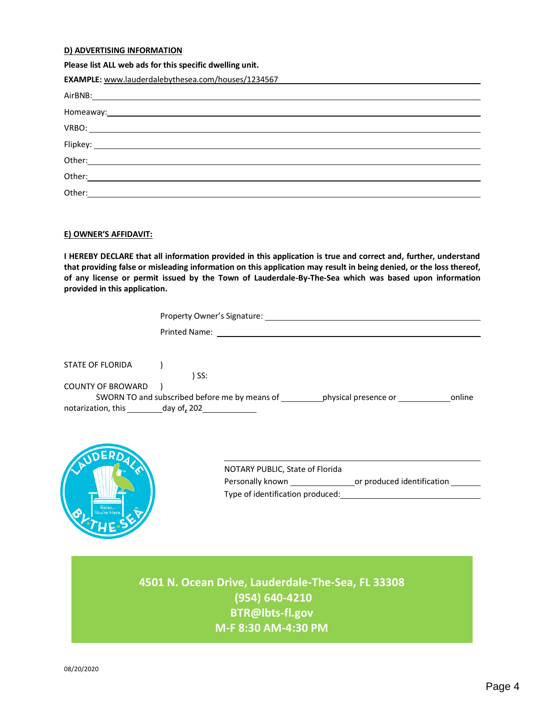#### **D) ADVERTISING INFORMATION**

#### **Please list ALL web ads for this specific dwelling unit.**

| <b>EXAMPLE:</b> www.lauderdalebythesea.com/houses/1234567                                                      |
|----------------------------------------------------------------------------------------------------------------|
|                                                                                                                |
| Homeaway: 1999 and 1999 and 1999 and 1999 and 1999 and 1999 and 1999 and 1999 and 1999 and 1999 and 1999 and 1 |
|                                                                                                                |
|                                                                                                                |
|                                                                                                                |
|                                                                                                                |
| Other:<br><u> 1989 - Andrea Andrew Maria (b. 1989)</u>                                                         |
|                                                                                                                |

#### **E) OWNER'S AFFIDAVIT:**

**I HEREBY DECLARE that all information provided in this application is true and correct and, further, understand that providing false or misleading information on this application may result in being denied, or the loss thereof, of any license or permit issued by the Town of Lauderdale-By-The-Sea which was based upon information provided in this application.**

|                          | Property Owner's Signature:                                               |  |
|--------------------------|---------------------------------------------------------------------------|--|
|                          | <b>Printed Name:</b>                                                      |  |
|                          |                                                                           |  |
| STATE OF FLORIDA         | ) SS:                                                                     |  |
| <b>COUNTY OF BROWARD</b> |                                                                           |  |
|                          | SWORN TO and subscribed before me by means of physical presence or online |  |
|                          | notarization, this day of, 202                                            |  |
|                          |                                                                           |  |
|                          |                                                                           |  |
|                          |                                                                           |  |



| NOTARY PUBLIC, State of Florida  |                            |  |
|----------------------------------|----------------------------|--|
| Personally known                 | or produced identification |  |
| Type of identification produced: |                            |  |

**4501 N. Ocean Drive, Lauderdale-The-Sea, FL 33308 (954) 640-4210 BTR@lbts-fl.gov M-F 8:30 AM-4:30 PM**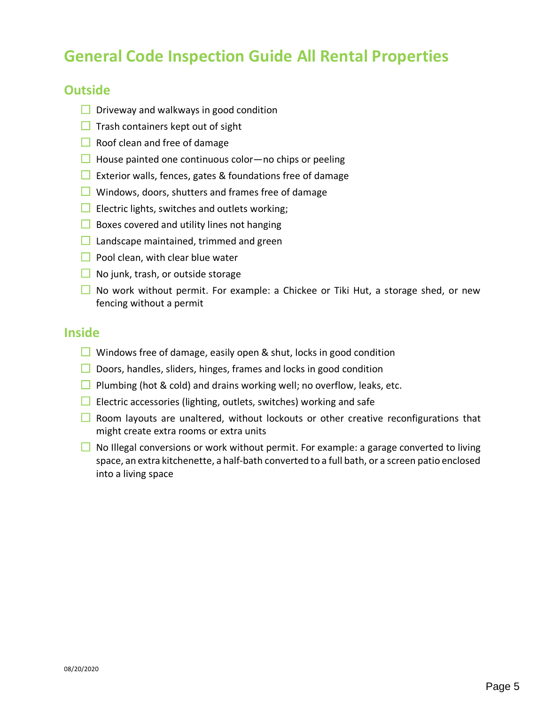## **General Code Inspection Guide All Rental Properties**

## **Outside**

- $\Box$  Driveway and walkways in good condition
- $\Box$  Trash containers kept out of sight
- $\Box$  Roof clean and free of damage
- $\Box$  House painted one continuous color—no chips or peeling
- Exterior walls, fences, gates & foundations free of damage
- $\Box$  Windows, doors, shutters and frames free of damage
- Electric lights, switches and outlets working;
- $\Box$  Boxes covered and utility lines not hanging
- $\Box$  Landscape maintained, trimmed and green
- $\Box$  Pool clean, with clear blue water
- $\Box$  No junk, trash, or outside storage
- $\Box$  No work without permit. For example: a Chickee or Tiki Hut, a storage shed, or new fencing without a permit

## **Inside**

- $\Box$  Windows free of damage, easily open & shut, locks in good condition
- $\Box$  Doors, handles, sliders, hinges, frames and locks in good condition
- **Plumbing (hot & cold) and drains working well; no overflow, leaks, etc.**
- Electric accessories (lighting, outlets, switches) working and safe
- $\Box$  Room layouts are unaltered, without lockouts or other creative reconfigurations that might create extra rooms or extra units
- $\Box$  No Illegal conversions or work without permit. For example: a garage converted to living space, an extra kitchenette, a half-bath converted to a full bath, or a screen patio enclosed into a living space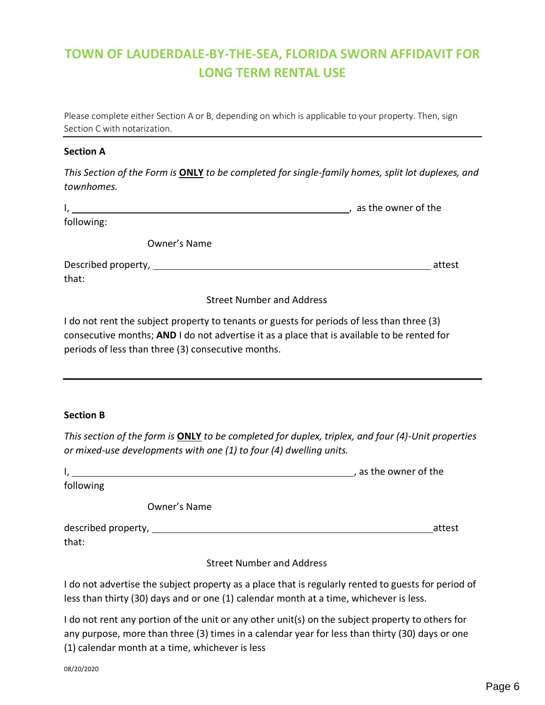## **TOWN OF LAUDERDALE-BY-THE-SEA, FLORIDA SWORN AFFIDAVIT FOR LONG TERM RENTAL USE**

Please complete either Section A or B, depending on which is applicable to your property. Then, sign Section C with notarization.

#### **Section A**

*This Section of the Form is* **ONLY** *to be completed for single-family homes, split lot duplexes, and townhomes.* 

|            |              | as the owner of the |
|------------|--------------|---------------------|
| following: |              |                     |
|            | Owner's Name |                     |

Described property, attest that:

Street Number and Address

I do not rent the subject property to tenants or guests for periods of less than three (3) consecutive months; **AND** I do not advertise it as a place that is available to be rented for periods of less than three (3) consecutive months.

#### **Section B**

*This section of the form is* **ONLY** *to be completed for duplex, triplex, and four (4)-Unit properties or mixed-use developments with one (1) to four (4) dwelling units.* 

|                                  | , as the owner of the |
|----------------------------------|-----------------------|
| following                        |                       |
| Owner's Name                     |                       |
| that:                            | attest                |
| <b>Street Number and Address</b> |                       |

I do not advertise the subject property as a place that is regularly rented to guests for period of less than thirty (30) days and or one (1) calendar month at a time, whichever is less.

I do not rent any portion of the unit or any other unit(s) on the subject property to others for any purpose, more than three (3) times in a calendar year for less than thirty (30) days or one (1) calendar month at a time, whichever is less

08/20/2020